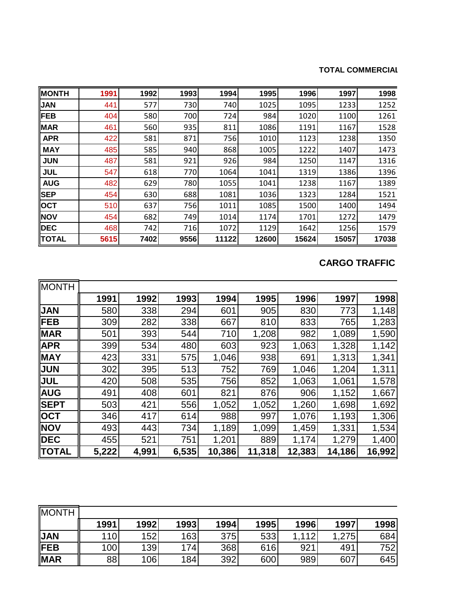#### **TOTAL COMMERCIAL**

| <b>MONTH</b> | 1991 | 1992 | 1993 | 1994  | 1995  | 1996  | 1997  | 1998  |
|--------------|------|------|------|-------|-------|-------|-------|-------|
| <b>JAN</b>   | 441  | 577  | 730  | 740   | 1025  | 1095  | 1233  | 1252  |
| <b>FEB</b>   | 404  | 580  | 700  | 724   | 984   | 1020  | 1100  | 1261  |
| <b>MAR</b>   | 461  | 560  | 935  | 811   | 1086  | 1191  | 1167  | 1528  |
| <b>APR</b>   | 422  | 581  | 871  | 756   | 1010  | 1123  | 1238  | 1350  |
| <b>MAY</b>   | 485  | 585  | 940  | 868   | 1005  | 1222  | 1407  | 1473  |
| <b>JUN</b>   | 487  | 581  | 921  | 926   | 984   | 1250  | 1147  | 1316  |
| <b>JUL</b>   | 547  | 618  | 770  | 1064  | 1041  | 1319  | 1386  | 1396  |
| <b>AUG</b>   | 482  | 629  | 780  | 1055  | 1041  | 1238  | 1167  | 1389  |
| <b>SEP</b>   | 454  | 630  | 688  | 1081  | 1036  | 1323  | 1284  | 1521  |
| <b>OCT</b>   | 510  | 637  | 756  | 1011  | 1085  | 1500  | 1400  | 1494  |
| <b>NOV</b>   | 454  | 682  | 749  | 1014  | 1174  | 1701  | 1272  | 1479  |
| <b>DEC</b>   | 468  | 742  | 716  | 1072  | 1129  | 1642  | 1256  | 1579  |
| <b>TOTAL</b> | 5615 | 7402 | 9556 | 11122 | 12600 | 15624 | 15057 | 17038 |

### **CARGO TRAFFIC**

| MONTH        |       |       |       |        |        |        |        |        |
|--------------|-------|-------|-------|--------|--------|--------|--------|--------|
|              | 1991  | 1992  | 1993  | 1994   | 1995   | 1996   | 1997   | 1998   |
| <b>JAN</b>   | 580   | 338   | 294   | 601    | 905    | 830    | 773    | 1,148  |
| <b>IFEB</b>  | 309   | 282   | 338   | 667    | 810    | 833    | 765    | 1,283  |
| <b>MAR</b>   | 501   | 393   | 544   | 710    | 1,208  | 982    | 1,089  | 1,590  |
| <b>APR</b>   | 399   | 534   | 480   | 603    | 923    | 1,063  | 1,328  | 1,142  |
| <b>MAY</b>   | 423   | 331   | 575   | 1,046  | 938    | 691    | 1,313  | 1,341  |
| <b>JUN</b>   | 302   | 395   | 513   | 752    | 769    | 1,046  | 1,204  | 1,311  |
| <b>JUL</b>   | 420   | 508   | 535   | 756    | 852    | 1,063  | 1,061  | 1,578  |
| <b>AUG</b>   | 491   | 408   | 601   | 821    | 876    | 906    | 1,152  | 1,667  |
| <b>SEPT</b>  | 503   | 421   | 556   | 1,052  | 1,052  | 1,260  | 1,698  | 1,692  |
| <b>OCT</b>   | 346   | 417   | 614   | 988    | 997    | 1,076  | 1,193  | 1,306  |
| <b>NOV</b>   | 493   | 443   | 734   | 1,189  | 1,099  | 1,459  | 1,331  | 1,534  |
| <b>DEC</b>   | 455   | 521   | 751   | 1,201  | 889    | 1,174  | 1,279  | 1,400  |
| <b>TOTAL</b> | 5,222 | 4,991 | 6,535 | 10,386 | 11,318 | 12,383 | 14,186 | 16,992 |

| <b>MONTH</b> |      |      |      |      |      |       |       |      |
|--------------|------|------|------|------|------|-------|-------|------|
|              | 1991 | 1992 | 1993 | 1994 | 1995 | 1996  | 1997  | 1998 |
| <b>JAN</b>   | 110  | 152  | 163  | 375  | 533  | 1,112 | 1,275 | 684  |
| <b>FEB</b>   | 100  | 139  | 174  | 368  | 616  | 921   | 491   | 752  |
| <b>MAR</b>   | 88   | 106  | 184  | 392  | 600  | 989   | 607   | 645  |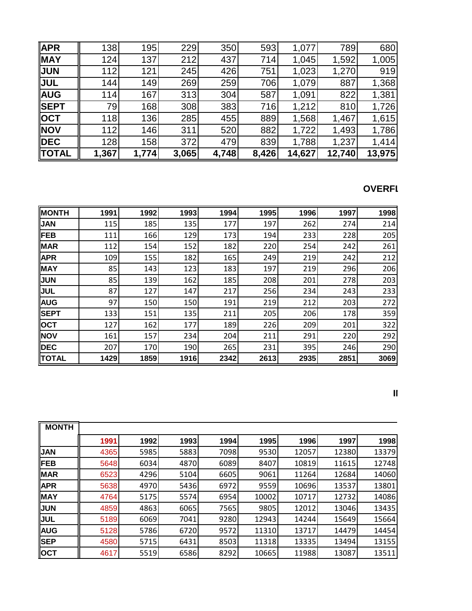| <b>APR</b>   | 138        | 195   | 229   | 350   | 593   | 1,077  | 789    | 680    |
|--------------|------------|-------|-------|-------|-------|--------|--------|--------|
| <b>MAY</b>   | 124        | 137   | 212   | 437   | 714   | 1,045  | 1,592  | 1,005  |
| <b>JUN</b>   | 112        | 121   | 245   | 426   | 751   | 1,023  | 1,270  | 919    |
| <b>JUL</b>   | 144        | 149   | 269   | 259   | 706   | 1,079  | 887    | 1,368  |
| <b>AUG</b>   | 114        | 167   | 313   | 304   | 587   | 1,091  | 822    | 1,381  |
| <b>SEPT</b>  | 79         | 168   | 308   | 383   | 716   | 1,212  | 810    | 1,726  |
| <b>OCT</b>   | <b>118</b> | 136   | 285   | 455   | 889   | 1,568  | 1,467  | 1,615  |
| <b>NOV</b>   | 112        | 146   | 311   | 520   | 882   | 1,722  | 1,493  | 1,786  |
| <b>IDEC</b>  | 128        | 158   | 372   | 479   | 839   | 1,788  | 1,237  | 1,414  |
| <b>TOTAL</b> | 1,367      | 1,774 | 3,065 | 4,748 | 8,426 | 14,627 | 12,740 | 13,975 |

## **OVERFI**

| <b>MONTH</b> | 1991 | 1992 | 1993 | 1994 | 1995 | 1996 | 1997 | 1998 |
|--------------|------|------|------|------|------|------|------|------|
| <b>JAN</b>   | 115  | 185  | 135  | 177  | 197  | 262  | 274  | 214  |
| <b>IFEB</b>  | 111  | 166  | 129  | 173  | 194  | 233  | 228  | 205  |
| <b>MAR</b>   | 112  | 154  | 152  | 182  | 220  | 254  | 242  | 261  |
| <b>APR</b>   | 109  | 155  | 182  | 165  | 249  | 219  | 242  | 212  |
| MAY          | 85   | 143  | 123  | 183  | 197  | 219  | 296  | 206  |
| <b>JUN</b>   | 85   | 139  | 162  | 185  | 208  | 201  | 278  | 203  |
| <b>JUL</b>   | 87   | 127  | 147  | 217  | 256  | 234  | 243  | 233  |
| AUG          | 97   | 150  | 150  | 191  | 219  | 212  | 203  | 272  |
| <b>SEPT</b>  | 133  | 151  | 135  | 211  | 205  | 206  | 178  | 359  |
| <b>OCT</b>   | 127  | 162  | 177  | 189  | 226  | 209  | 201  | 322  |
| <b>NOV</b>   | 161  | 157  | 234  | 204  | 211  | 291  | 220  | 292  |
| <b>DEC</b>   | 207  | 170  | 190  | 265  | 231  | 395  | 246  | 290  |
| <b>TOTAL</b> | 1429 | 1859 | 1916 | 2342 | 2613 | 2935 | 2851 | 3069 |

| <b>MONTH</b> |      |      |      |      |       |       |       |       |
|--------------|------|------|------|------|-------|-------|-------|-------|
|              | 1991 | 1992 | 1993 | 1994 | 1995  | 1996  | 1997  | 1998  |
| <b>JAN</b>   | 4365 | 5985 | 5883 | 7098 | 9530  | 12057 | 12380 | 13379 |
| <b>FEB</b>   | 5648 | 6034 | 4870 | 6089 | 8407  | 10819 | 11615 | 12748 |
| <b>MAR</b>   | 6523 | 4296 | 5104 | 6605 | 9061  | 11264 | 12684 | 14060 |
| <b>APR</b>   | 5638 | 4970 | 5436 | 6972 | 9559  | 10696 | 13537 | 13801 |
| <b>MAY</b>   | 4764 | 5175 | 5574 | 6954 | 10002 | 10717 | 12732 | 14086 |
| <b>JUN</b>   | 4859 | 4863 | 6065 | 7565 | 9805  | 12012 | 13046 | 13435 |
| <b>JUL</b>   | 5189 | 6069 | 7041 | 9280 | 12943 | 14244 | 15649 | 15664 |
| <b>AUG</b>   | 5128 | 5786 | 6720 | 9572 | 11310 | 13717 | 14479 | 14454 |
| <b>SEP</b>   | 4580 | 5715 | 6431 | 8503 | 11318 | 13335 | 13494 | 13155 |
| <b>OCT</b>   | 4617 | 5519 | 6586 | 8292 | 10665 | 11988 | 13087 | 13511 |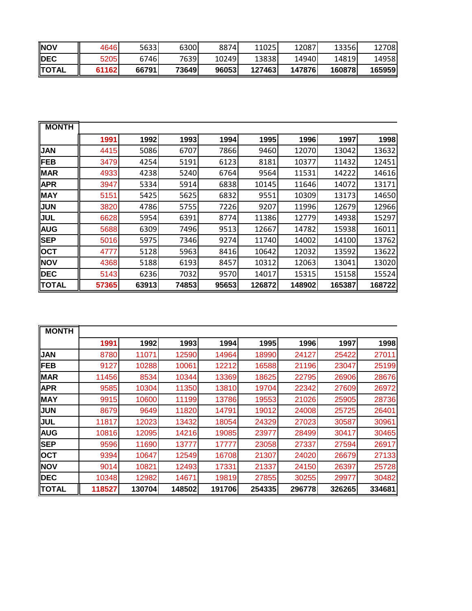| INOV         | 4646  | 5633I | 63001 | 88741 | 11025  | 12087  | 13356  | 12708  |
|--------------|-------|-------|-------|-------|--------|--------|--------|--------|
| <b>IDEC</b>  | 5205  | 6746I | 7639  | 10249 | 13838  | 14940  | 14819  | 14958  |
| <b>TOTAL</b> | 61162 | 66791 | 73649 | 96053 | 127463 | 147876 | 160878 | 165959 |

| <b>MONTH</b> |       |       |       |       |        |        |        |        |
|--------------|-------|-------|-------|-------|--------|--------|--------|--------|
|              | 1991  | 1992  | 1993  | 1994  | 1995   | 1996   | 1997   | 1998   |
| <b>JAN</b>   | 4415  | 5086  | 6707  | 7866  | 9460   | 12070  | 13042  | 13632  |
| <b>FEB</b>   | 3479  | 4254  | 5191  | 6123  | 8181   | 10377  | 11432  | 12451  |
| <b>MAR</b>   | 4933  | 4238  | 5240  | 6764  | 9564   | 11531  | 14222  | 14616  |
| <b>APR</b>   | 3947  | 5334  | 5914  | 6838  | 10145  | 11646  | 14072  | 13171  |
| <b>MAY</b>   | 5151  | 5425  | 5625  | 6832  | 9551   | 10309  | 13173  | 14650  |
| <b>JUN</b>   | 3820  | 4786  | 5755  | 7226  | 9207   | 11996  | 12679  | 12966  |
| <b>JUL</b>   | 6628  | 5954  | 6391  | 8774  | 11386  | 12779  | 14938  | 15297  |
| <b>AUG</b>   | 5688  | 6309  | 7496  | 9513  | 12667  | 14782  | 15938  | 16011  |
| <b>SEP</b>   | 5016  | 5975  | 7346  | 9274  | 11740  | 14002  | 14100  | 13762  |
| <b>OCT</b>   | 4777  | 5128  | 5963  | 8416  | 10642  | 12032  | 13592  | 13622  |
| <b>NOV</b>   | 4368  | 5188  | 6193  | 8457  | 10312  | 12063  | 13041  | 13020  |
| DEC          | 5143  | 6236  | 7032  | 9570  | 14017  | 15315  | 15158  | 15524  |
| <b>TOTAL</b> | 57365 | 63913 | 74853 | 95653 | 126872 | 148902 | 165387 | 168722 |

| <b>MONTH</b> |        |        |        |        |        |        |        |        |
|--------------|--------|--------|--------|--------|--------|--------|--------|--------|
|              | 1991   | 1992   | 1993   | 1994   | 1995   | 1996   | 1997   | 1998   |
| <b>JAN</b>   | 8780   | 11071  | 12590  | 14964  | 18990  | 24127  | 25422  | 27011  |
| <b>IFEB</b>  | 9127   | 10288  | 10061  | 12212  | 16588  | 21196  | 23047  | 25199  |
| <b>MAR</b>   | 11456  | 8534   | 10344  | 13369  | 18625  | 22795  | 26906  | 28676  |
| <b>APR</b>   | 9585   | 10304  | 11350  | 13810  | 19704  | 22342  | 27609  | 26972  |
| MAY          | 9915   | 10600  | 11199  | 13786  | 19553  | 21026  | 25905  | 28736  |
| <b>JUN</b>   | 8679   | 9649   | 11820  | 14791  | 19012  | 24008  | 25725  | 26401  |
| <b>JUL</b>   | 11817  | 12023  | 13432  | 18054  | 24329  | 27023  | 30587  | 30961  |
| AUG          | 10816  | 12095  | 14216  | 19085  | 23977  | 28499  | 30417  | 30465  |
| <b>SEP</b>   | 9596   | 11690  | 13777  | 17777  | 23058  | 27337  | 27594  | 26917  |
| <b>OCT</b>   | 9394   | 10647  | 12549  | 16708  | 21307  | 24020  | 26679  | 27133  |
| <b>NOV</b>   | 9014   | 10821  | 12493  | 17331  | 21337  | 24150  | 26397  | 25728  |
| <b>DEC</b>   | 10348  | 12982  | 14671  | 19819  | 27855  | 30255  | 29977  | 30482  |
| <b>TOTAL</b> | 118527 | 130704 | 148502 | 191706 | 254335 | 296778 | 326265 | 334681 |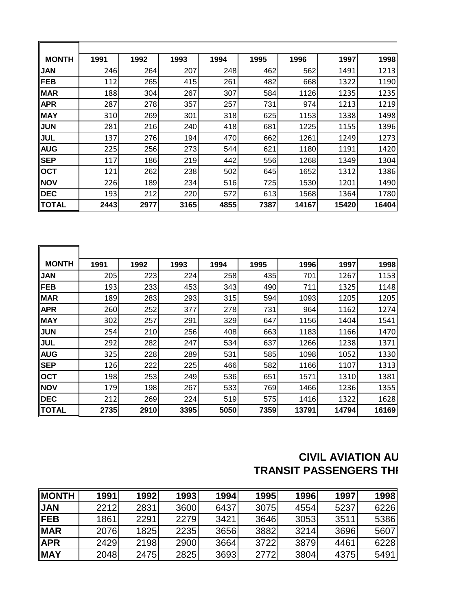| <b>MONTH</b> | 1991 | 1992 | 1993 | 1994 | 1995 | 1996  | 1997  | 1998  |
|--------------|------|------|------|------|------|-------|-------|-------|
| <b>JAN</b>   | 246  | 264  | 207  | 248  | 462  | 562   | 1491  | 1213  |
| <b>FEB</b>   | 112  | 265  | 415  | 261  | 482  | 668   | 1322  | 1190  |
| <b>MAR</b>   | 188  | 304  | 267  | 307  | 584  | 1126  | 1235  | 1235  |
| <b>APR</b>   | 287  | 278  | 357  | 257  | 731  | 974   | 1213  | 1219  |
| MAY          | 310  | 269  | 301  | 318  | 625  | 1153  | 1338  | 1498  |
| <b>JUN</b>   | 281  | 216  | 240  | 418  | 681  | 1225  | 1155  | 1396  |
| JUL          | 137  | 276  | 194  | 470  | 662  | 1261  | 1249  | 1273  |
| <b>AUG</b>   | 225  | 256  | 273  | 544  | 621  | 1180  | 1191  | 1420  |
| <b>SEP</b>   | 117  | 186  | 219  | 442  | 556  | 1268  | 1349  | 1304  |
| <b>OCT</b>   | 121  | 262  | 238  | 502  | 645  | 1652  | 1312  | 1386  |
| <b>NOV</b>   | 226  | 189  | 234  | 516  | 725  | 1530  | 1201  | 1490  |
| <b>DEC</b>   | 193  | 212  | 220  | 572  | 613  | 1568  | 1364  | 1780  |
| <b>TOTAL</b> | 2443 | 2977 | 3165 | 4855 | 7387 | 14167 | 15420 | 16404 |

| <b>MONTH</b> | 1991 | 1992 | 1993 | 1994 | 1995 | 1996  | 1997  | 1998  |
|--------------|------|------|------|------|------|-------|-------|-------|
| <b>JAN</b>   | 205  | 223  | 224  | 258  | 435  | 701   | 1267  | 1153  |
| <b>FEB</b>   | 193  | 233  | 453  | 343  | 490  | 711   | 1325  | 1148  |
| <b>MAR</b>   | 189  | 283  | 293  | 315  | 594  | 1093  | 1205  | 1205  |
| <b>APR</b>   | 260  | 252  | 377  | 278  | 731  | 964   | 1162  | 1274  |
| MAY          | 302  | 257  | 291  | 329  | 647  | 1156  | 1404  | 1541  |
| <b>JUN</b>   | 254  | 210  | 256  | 408  | 663  | 1183  | 1166  | 1470  |
| <b>JUL</b>   | 292  | 282  | 247  | 534  | 637  | 1266  | 1238  | 1371  |
| <b>AUG</b>   | 325  | 228  | 289  | 531  | 585  | 1098  | 1052  | 1330  |
| <b>SEP</b>   | 126  | 222  | 225  | 466  | 582  | 1166  | 1107  | 1313  |
| <b>OCT</b>   | 198  | 253  | 249  | 536  | 651  | 1571  | 1310  | 1381  |
| <b>NOV</b>   | 179  | 198  | 267  | 533  | 769  | 1466  | 1236  | 1355  |
| <b>DEC</b>   | 212  | 269  | 224  | 519  | 575  | 1416  | 1322  | 1628  |
| <b>TOTAL</b> | 2735 | 2910 | 3395 | 5050 | 7359 | 13791 | 14794 | 16169 |

# **CIVIL AVIATION AU TRANSIT PASSENGERS THI**

| <b>INONTH</b> | 1991 | 1992 | 1993 | 1994 | 1995 | 1996 | 1997 | 1998 |
|---------------|------|------|------|------|------|------|------|------|
| <b>JAN</b>    | 2212 | 2831 | 3600 | 6437 | 3075 | 4554 | 5237 | 6226 |
| <b>IFEB</b>   | 1861 | 2291 | 2279 | 3421 | 3646 | 3053 | 3511 | 5386 |
| <b>MAR</b>    | 2076 | 1825 | 2235 | 3656 | 3882 | 3214 | 3696 | 5607 |
| <b>APR</b>    | 2429 | 2198 | 2900 | 3664 | 3722 | 3879 | 4461 | 6228 |
| <b>MAY</b>    | 2048 | 2475 | 2825 | 3693 | 2772 | 3804 | 4375 | 5491 |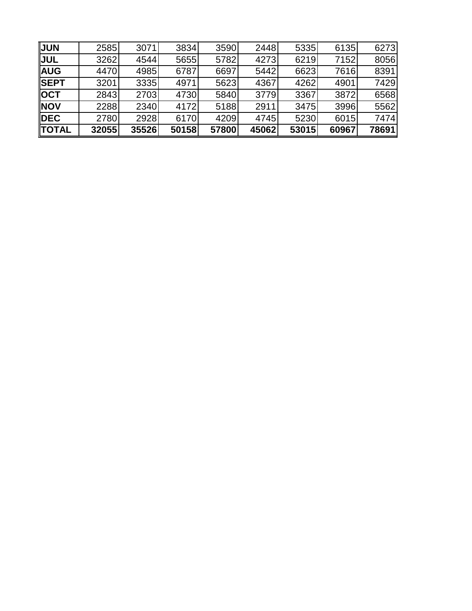| <b>JUN</b>   | 2585  | 3071  | 3834  | 3590  | 2448  | 5335  | 6135  | 6273  |
|--------------|-------|-------|-------|-------|-------|-------|-------|-------|
| <b>JUL</b>   | 3262  | 4544  | 5655  | 5782  | 4273  | 6219  | 7152  | 8056  |
| <b>AUG</b>   | 4470  | 4985  | 6787  | 6697  | 5442  | 6623  | 7616  | 8391  |
| <b>SEPT</b>  | 3201  | 3335  | 4971  | 5623  | 4367  | 4262  | 4901  | 7429  |
| <b>OCT</b>   | 2843  | 2703  | 4730  | 5840  | 3779  | 3367  | 3872  | 6568  |
| <b>INOV</b>  | 2288  | 2340  | 4172  | 5188  | 2911  | 3475  | 3996  | 5562  |
| <b>IDEC</b>  | 2780  | 2928  | 6170  | 4209  | 4745  | 5230  | 6015  | 7474  |
| <b>TOTAL</b> | 32055 | 35526 | 50158 | 57800 | 45062 | 53015 | 60967 | 78691 |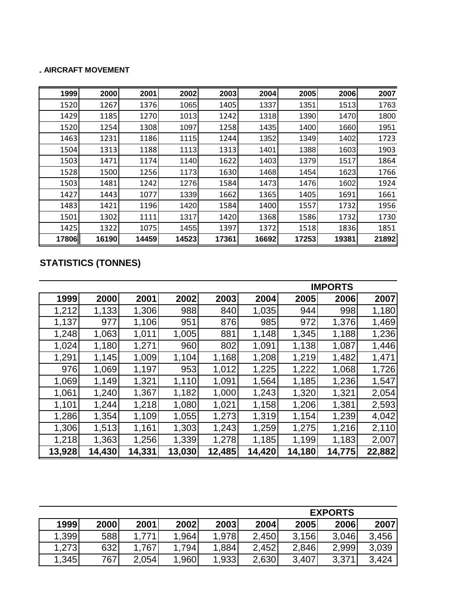#### **LAIRCRAFT MOVEMENT**

| 1999  | 2000  | 2001  | 2002  | 2003  | 2004  | 2005  | 2006  | 2007  |
|-------|-------|-------|-------|-------|-------|-------|-------|-------|
| 1520  | 1267  | 1376  | 1065  | 1405  | 1337  | 1351  | 1513  | 1763  |
| 1429  | 1185  | 1270  | 1013  | 1242  | 1318  | 1390  | 1470  | 1800  |
| 1520  | 1254  | 1308  | 1097  | 1258  | 1435  | 1400  | 1660  | 1951  |
| 1463  | 1231  | 1186  | 1115  | 1244  | 1352  | 1349  | 1402  | 1723  |
| 1504  | 1313  | 1188  | 1113  | 1313  | 1401  | 1388  | 1603  | 1903  |
| 1503  | 1471  | 1174  | 1140  | 1622  | 1403  | 1379  | 1517  | 1864  |
| 1528  | 1500  | 1256  | 1173  | 1630  | 1468  | 1454  | 1623  | 1766  |
| 1503  | 1481  | 1242  | 1276  | 1584  | 1473  | 1476  | 1602  | 1924  |
| 1427  | 1443  | 1077  | 1339  | 1662  | 1365  | 1405  | 1691  | 1661  |
| 1483  | 1421  | 1196  | 1420  | 1584  | 1400  | 1557  | 1732  | 1956  |
| 1501  | 1302  | 1111  | 1317  | 1420  | 1368  | 1586  | 1732  | 1730  |
| 1425  | 1322  | 1075  | 1455  | 1397  | 1372  | 1518  | 1836  | 1851  |
| 17806 | 16190 | 14459 | 14523 | 17361 | 16692 | 17253 | 19381 | 21892 |

## **STATISTICS (TONNES)**

|        |        |        |        |        | <b>IMPORTS</b> |        |        |        |  |
|--------|--------|--------|--------|--------|----------------|--------|--------|--------|--|
| 1999   | 2000   | 2001   | 2002   | 2003   | 2004           | 2005   | 2006   | 2007   |  |
| 1,212  | 1,133  | 1,306  | 988    | 840    | 1,035          | 944    | 998    | 1,180  |  |
| 1,137  | 977    | 1,106  | 951    | 876    | 985            | 972    | 1,376  | 1,469  |  |
| 1,248  | 1,063  | 1,011  | 1,005  | 881    | 1,148          | 1,345  | 1,188  | 1,236  |  |
| 1,024  | 1,180  | 1,271  | 960    | 802    | 1,091          | 1,138  | 1,087  | 1,446  |  |
| 1,291  | 1,145  | 1,009  | 1,104  | 1,168  | 1,208          | 1,219  | 1,482  | 1,471  |  |
| 976    | 1,069  | 1,197  | 953    | 1,012  | 1,225          | 1,222  | 1,068  | 1,726  |  |
| 1,069  | 1,149  | 1,321  | 1,110  | 1,091  | 1,564          | 1,185  | 1,236  | 1,547  |  |
| 1,061  | 1,240  | 1,367  | 1,182  | 1,000  | 1,243          | 1,320  | 1,321  | 2,054  |  |
| 1,101  | 1,244  | 1,218  | 1,080  | 1,021  | 1,158          | 1,206  | 1,381  | 2,593  |  |
| 1,286  | 1,354  | 1,109  | 1,055  | 1,273  | 1,319          | 1,154  | 1,239  | 4,042  |  |
| 1,306  | 1,513  | 1,161  | 1,303  | 1,243  | 1,259          | 1,275  | 1,216  | 2,110  |  |
| 1,218  | 1,363  | 1,256  | 1,339  | 1,278  | 1,185          | 1,199  | 1,183  | 2,007  |  |
| 13,928 | 14,430 | 14,331 | 13,030 | 12,485 | 14,420         | 14,180 | 14,775 | 22,882 |  |

|        |      |       |       |       |       |       | <b>EXPORTS</b> |       |
|--------|------|-------|-------|-------|-------|-------|----------------|-------|
| 1999   | 2000 | 2001  | 2002  | 2003  | 2004  | 2005  | 2006           | 2007  |
| 1,399  | 588  | 1,771 | .964  | 1,978 | 2,450 | 3,156 | 3,046          | 3,456 |
| 1,2731 | 632  | 1,767 | 1,794 | 1,884 | 2,452 | 2,846 | 2,999          | 3,039 |
| 1,345  | 767  | 2,054 | 1,960 | 1,933 | 2,630 | 3,407 | 3,371          | 3,424 |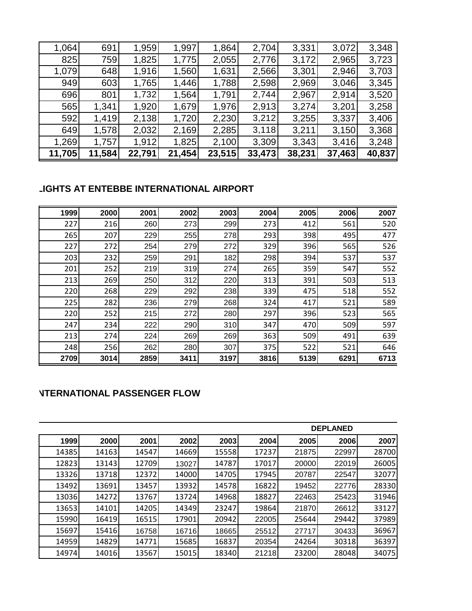| 1,064  | 691    | 1,959  | 1,997  | 1,864  | 2,704  | 3,331  | 3,072  | 3,348  |
|--------|--------|--------|--------|--------|--------|--------|--------|--------|
| 825    | 759    | 1,825  | 1,775  | 2,055  | 2,776  | 3,172  | 2,965  | 3,723  |
| 1,079  | 648    | 1,916  | 1,560  | 1,631  | 2,566  | 3,301  | 2,946  | 3,703  |
| 949    | 603    | 1,765  | 1,446  | 1,788  | 2,598  | 2,969  | 3,046  | 3,345  |
| 696    | 801    | 1,732  | 1,564  | 1,791  | 2,744  | 2,967  | 2,914  | 3,520  |
| 565    | 1,341  | 1,920  | 1,679  | 1,976  | 2,913  | 3,274  | 3,201  | 3,258  |
| 592    | 1,419  | 2,138  | 1,720  | 2,230  | 3,212  | 3,255  | 3,337  | 3,406  |
| 649    | 1,578  | 2,032  | 2,169  | 2,285  | 3,118  | 3,211  | 3,150  | 3,368  |
| 1,269  | 1,757  | 1,912  | 1,825  | 2,100  | 3,309  | 3,343  | 3,416  | 3,248  |
| 11,705 | 11,584 | 22,791 | 21,454 | 23,515 | 33,473 | 38,231 | 37,463 | 40,837 |

## **LIGHTS AT ENTEBBE INTERNATIONAL AIRPORT**

| 1999 | 2000 | 2001 | 2002 | 2003 | 2004 | 2005 | 2006 | 2007 |
|------|------|------|------|------|------|------|------|------|
| 227  | 216  | 260  | 273  | 299  | 273  | 412  | 561  | 520  |
| 265  | 207  | 229  | 255  | 278  | 293  | 398  | 495  | 477  |
| 227  | 272  | 254  | 279  | 272  | 329  | 396  | 565  | 526  |
| 203  | 232  | 259  | 291  | 182  | 298  | 394  | 537  | 537  |
| 201  | 252  | 219  | 319  | 274  | 265  | 359  | 547  | 552  |
| 213  | 269  | 250  | 312  | 220  | 313  | 391  | 503  | 513  |
| 220  | 268  | 229  | 292  | 238  | 339  | 475  | 518  | 552  |
| 225  | 282  | 236  | 279  | 268  | 324  | 417  | 521  | 589  |
| 220  | 252  | 215  | 272  | 280  | 297  | 396  | 523  | 565  |
| 247  | 234  | 222  | 290  | 310  | 347  | 470  | 509  | 597  |
| 213  | 274  | 224  | 269  | 269  | 363  | 509  | 491  | 639  |
| 248  | 256  | 262  | 280  | 307  | 375  | 522  | 521  | 646  |
| 2709 | 3014 | 2859 | 3411 | 3197 | 3816 | 5139 | 6291 | 6713 |

## **INTERNATIONAL PASSENGER FLOW**

|       |       |       |       |       |       |       | <b>DEPLANED</b> |       |
|-------|-------|-------|-------|-------|-------|-------|-----------------|-------|
| 1999  | 2000  | 2001  | 2002  | 2003  | 2004  | 2005  | 2006            | 2007  |
| 14385 | 14163 | 14547 | 14669 | 15558 | 17237 | 21875 | 22997           | 28700 |
| 12823 | 13143 | 12709 | 13027 | 14787 | 17017 | 20000 | 22019           | 26005 |
| 13326 | 13718 | 12372 | 14000 | 14705 | 17945 | 20787 | 22547           | 32077 |
| 13492 | 13691 | 13457 | 13932 | 14578 | 16822 | 19452 | 22776           | 28330 |
| 13036 | 14272 | 13767 | 13724 | 14968 | 18827 | 22463 | 25423           | 31946 |
| 13653 | 14101 | 14205 | 14349 | 23247 | 19864 | 21870 | 26612           | 33127 |
| 15990 | 16419 | 16515 | 17901 | 20942 | 22005 | 25644 | 29442           | 37989 |
| 15697 | 15416 | 16758 | 16716 | 18665 | 25512 | 27717 | 30433           | 36967 |
| 14959 | 14829 | 14771 | 15685 | 16837 | 20354 | 24264 | 30318           | 36397 |
| 14974 | 14016 | 13567 | 15015 | 18340 | 21218 | 23200 | 28048           | 34075 |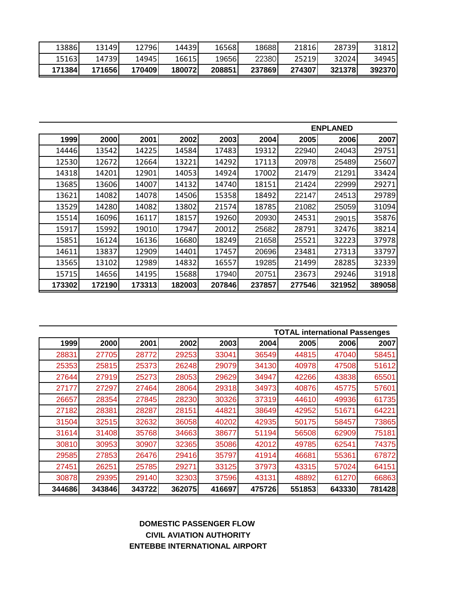| 13886  | 13149  | 12796  | 14439   | 16568  | 18688  | 21816  | 287391 | 31812  |
|--------|--------|--------|---------|--------|--------|--------|--------|--------|
| 15163  | 14739  | 14945  | 16615   | 19656  | 22380  | 25219  | 32024  | 34945  |
| 171384 | 171656 | 170409 | 1800721 | 208851 | 237869 | 274307 | 321378 | 392370 |

|        |        |        |        |        | <b>ENPLANED</b> |        |        |        |  |
|--------|--------|--------|--------|--------|-----------------|--------|--------|--------|--|
| 1999   | 2000   | 2001   | 2002   | 2003   | 2004            | 2005   | 2006   | 2007   |  |
| 14446  | 13542  | 14225  | 14584  | 17483  | 19312           | 22940  | 24043  | 29751  |  |
| 12530  | 12672  | 12664  | 13221  | 14292  | 17113           | 20978  | 25489  | 25607  |  |
| 14318  | 14201  | 12901  | 14053  | 14924  | 17002           | 21479  | 21291  | 33424  |  |
| 13685  | 13606  | 14007  | 14132  | 14740  | 18151           | 21424  | 22999  | 29271  |  |
| 13621  | 14082  | 14078  | 14506  | 15358  | 18492           | 22147  | 24513  | 29789  |  |
| 13529  | 14280  | 14082  | 13802  | 21574  | 18785           | 21082  | 25059  | 31094  |  |
| 15514  | 16096  | 16117  | 18157  | 19260  | 20930           | 24531  | 29015  | 35876  |  |
| 15917  | 15992  | 19010  | 17947  | 20012  | 25682           | 28791  | 32476  | 38214  |  |
| 15851  | 16124  | 16136  | 16680  | 18249  | 21658           | 25521  | 32223  | 37978  |  |
| 14611  | 13837  | 12909  | 14401  | 17457  | 20696           | 23481  | 27313  | 33797  |  |
| 13565  | 13102  | 12989  | 14832  | 16557  | 19285           | 21499  | 28285  | 32339  |  |
| 15715  | 14656  | 14195  | 15688  | 17940  | 20751           | 23673  | 29246  | 31918  |  |
| 173302 | 172190 | 173313 | 182003 | 207846 | 237857          | 277546 | 321952 | 389058 |  |

|        |        |        |        |        |        |        | <b>TOTAL international Passenges</b> |        |
|--------|--------|--------|--------|--------|--------|--------|--------------------------------------|--------|
| 1999   | 2000   | 2001   | 2002   | 2003   | 2004   | 2005   | 2006                                 | 2007   |
| 28831  | 27705  | 28772  | 29253  | 33041  | 36549  | 44815  | 47040                                | 58451  |
| 25353  | 25815  | 25373  | 26248  | 29079  | 34130  | 40978  | 47508                                | 51612  |
| 27644  | 27919  | 25273  | 28053  | 29629  | 34947  | 42266  | 43838                                | 65501  |
| 27177  | 27297  | 27464  | 28064  | 29318  | 34973  | 40876  | 45775                                | 57601  |
| 26657  | 28354  | 27845  | 28230  | 30326  | 37319  | 44610  | 49936                                | 61735  |
| 27182  | 28381  | 28287  | 28151  | 44821  | 38649  | 42952  | 51671                                | 64221  |
| 31504  | 32515  | 32632  | 36058  | 40202  | 42935  | 50175  | 58457                                | 73865  |
| 31614  | 31408  | 35768  | 34663  | 38677  | 51194  | 56508  | 62909                                | 75181  |
| 30810  | 30953  | 30907  | 32365  | 35086  | 42012  | 49785  | 62541                                | 74375  |
| 29585  | 27853  | 26476  | 29416  | 35797  | 41914  | 46681  | 55361                                | 67872  |
| 27451  | 26251  | 25785  | 29271  | 33125  | 37973  | 43315  | 57024                                | 64151  |
| 30878  | 29395  | 29140  | 32303  | 37596  | 43131  | 48892  | 61270                                | 66863  |
| 344686 | 343846 | 343722 | 362075 | 416697 | 475726 | 551853 | 643330                               | 781428 |

### **CIVIL AVIATION AUTHORITY ENTEBBE INTERNATIONAL AIRPORT DOMESTIC PASSENGER FLOW**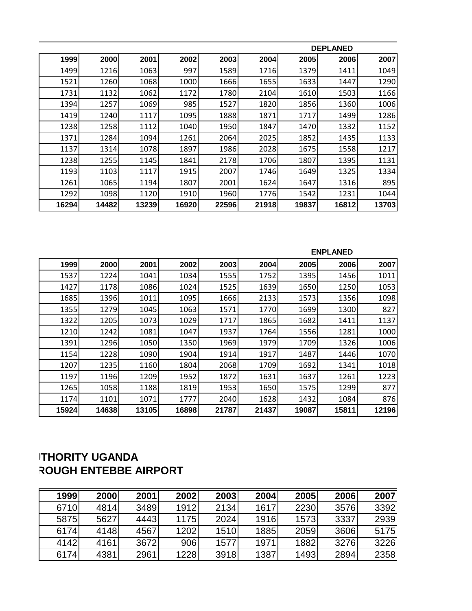|       |       |       |       |       | <b>DEPLANED</b> |       |       |       |  |  |
|-------|-------|-------|-------|-------|-----------------|-------|-------|-------|--|--|
| 1999  | 2000  | 2001  | 2002  | 2003  | 2004            | 2005  | 2006  | 2007  |  |  |
| 1499  | 1216  | 1063  | 997   | 1589  | 1716            | 1379  | 1411  | 1049  |  |  |
| 1521  | 1260  | 1068  | 1000  | 1666  | 1655            | 1633  | 1447  | 1290  |  |  |
| 1731  | 1132  | 1062  | 1172  | 1780  | 2104            | 1610  | 1503  | 1166  |  |  |
| 1394  | 1257  | 1069  | 985   | 1527  | 1820            | 1856  | 1360  | 1006  |  |  |
| 1419  | 1240  | 1117  | 1095  | 1888  | 1871            | 1717  | 1499  | 1286  |  |  |
| 1238  | 1258  | 1112  | 1040  | 1950  | 1847            | 1470  | 1332  | 1152  |  |  |
| 1371  | 1284  | 1094  | 1261  | 2064  | 2025            | 1852  | 1435  | 1133  |  |  |
| 1137  | 1314  | 1078  | 1897  | 1986  | 2028            | 1675  | 1558  | 1217  |  |  |
| 1238  | 1255  | 1145  | 1841  | 2178  | 1706            | 1807  | 1395  | 1131  |  |  |
| 1193  | 1103  | 1117  | 1915  | 2007  | 1746            | 1649  | 1325  | 1334  |  |  |
| 1261  | 1065  | 1194  | 1807  | 2001  | 1624            | 1647  | 1316  | 895   |  |  |
| 1292  | 1098  | 1120  | 1910  | 1960  | 1776            | 1542  | 1231  | 1044  |  |  |
| 16294 | 14482 | 13239 | 16920 | 22596 | 21918           | 19837 | 16812 | 13703 |  |  |

|       |       |       |       |       | <b>ENPLANED</b> |       |       |       |  |
|-------|-------|-------|-------|-------|-----------------|-------|-------|-------|--|
| 1999  | 2000  | 2001  | 2002  | 2003  | 2004            | 2005  | 2006  | 2007  |  |
| 1537  | 1224  | 1041  | 1034  | 1555  | 1752            | 1395  | 1456  | 1011  |  |
| 1427  | 1178  | 1086  | 1024  | 1525  | 1639            | 1650  | 1250  | 1053  |  |
| 1685  | 1396  | 1011  | 1095  | 1666  | 2133            | 1573  | 1356  | 1098  |  |
| 1355  | 1279  | 1045  | 1063  | 1571  | 1770            | 1699  | 1300  | 827   |  |
| 1322  | 1205  | 1073  | 1029  | 1717  | 1865            | 1682  | 1411  | 1137  |  |
| 1210  | 1242  | 1081  | 1047  | 1937  | 1764            | 1556  | 1281  | 1000  |  |
| 1391  | 1296  | 1050  | 1350  | 1969  | 1979            | 1709  | 1326  | 1006  |  |
| 1154  | 1228  | 1090  | 1904  | 1914  | 1917            | 1487  | 1446  | 1070  |  |
| 1207  | 1235  | 1160  | 1804  | 2068  | 1709            | 1692  | 1341  | 1018  |  |
| 1197  | 1196  | 1209  | 1952  | 1872  | 1631            | 1637  | 1261  | 1223  |  |
| 1265  | 1058  | 1188  | 1819  | 1953  | 1650            | 1575  | 1299  | 877   |  |
| 1174  | 1101  | 1071  | 1777  | 2040  | 1628            | 1432  | 1084  | 876   |  |
| 15924 | 14638 | 13105 | 16898 | 21787 | 21437           | 19087 | 15811 | 12196 |  |

# **ITHORITY UGANDA ROUGH ENTEBBE AIRPORT**

| <b>1999</b> | 2000 | 2001 | <b>2002</b> | 2003 | 2004 | 2005 | 2006 | 2007 |
|-------------|------|------|-------------|------|------|------|------|------|
| 6710        | 4814 | 3489 | 1912        | 2134 | 1617 | 2230 | 3576 | 3392 |
| 5875        | 5627 | 4443 | <b>1175</b> | 2024 | 1916 | 1573 | 3337 | 2939 |
| 6174        | 4148 | 4567 | 1202        | 1510 | 1885 | 2059 | 3606 | 5175 |
| 4142        | 4161 | 3672 | 906         | 1577 | 1971 | 1882 | 3276 | 3226 |
| 6174        | 4381 | 2961 | 1228        | 3918 | 1387 | 1493 | 2894 | 2358 |
|             |      |      |             |      |      |      |      |      |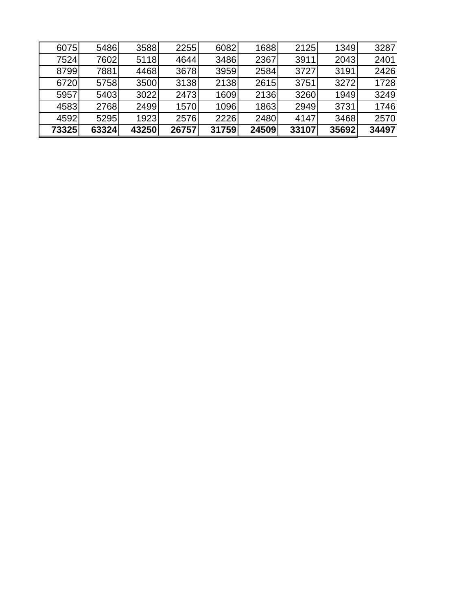| 6075  | 5486  | 3588  | 2255  | 6082  | 1688  | 2125  | 1349  | 3287  |
|-------|-------|-------|-------|-------|-------|-------|-------|-------|
| 7524  | 7602  | 5118  | 4644  | 3486  | 2367  | 3911  | 2043  | 2401  |
| 8799  | 7881  | 4468  | 3678  | 3959  | 2584  | 3727  | 3191  | 2426  |
| 6720  | 5758  | 3500  | 3138  | 2138  | 2615  | 3751  | 3272  | 1728  |
| 5957  | 5403  | 3022  | 2473  | 1609  | 2136  | 3260  | 1949  | 3249  |
| 4583  | 2768  | 2499  | 1570  | 1096  | 1863  | 2949  | 3731  | 1746  |
| 4592  | 5295  | 1923  | 2576  | 2226  | 2480  | 4147  | 3468  | 2570  |
| 73325 | 63324 | 43250 | 26757 | 31759 | 24509 | 33107 | 35692 | 34497 |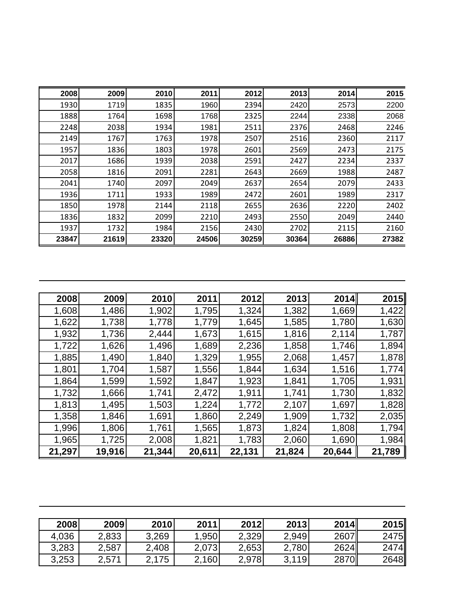| 2008  | 2009  | 2010  | 2011  | 2012  | 2013  | 2014  | 2015  |
|-------|-------|-------|-------|-------|-------|-------|-------|
| 1930  | 1719  | 1835  | 1960  | 2394  | 2420  | 2573  | 2200  |
| 1888  | 1764  | 1698  | 1768  | 2325  | 2244  | 2338  | 2068  |
| 2248  | 2038  | 1934  | 1981  | 2511  | 2376  | 2468  | 2246  |
| 2149  | 1767  | 1763  | 1978  | 2507  | 2516  | 2360  | 2117  |
| 1957  | 1836  | 1803  | 1978  | 2601  | 2569  | 2473  | 2175  |
| 2017  | 1686  | 1939  | 2038  | 2591  | 2427  | 2234  | 2337  |
| 2058  | 1816  | 2091  | 2281  | 2643  | 2669  | 1988  | 2487  |
| 2041  | 1740  | 2097  | 2049  | 2637  | 2654  | 2079  | 2433  |
| 1936  | 1711  | 1933  | 1989  | 2472  | 2601  | 1989  | 2317  |
| 1850  | 1978  | 2144  | 2118  | 2655  | 2636  | 2220  | 2402  |
| 1836  | 1832  | 2099  | 2210  | 2493  | 2550  | 2049  | 2440  |
| 1937  | 1732  | 1984  | 2156  | 2430  | 2702  | 2115  | 2160  |
| 23847 | 21619 | 23320 | 24506 | 30259 | 30364 | 26886 | 27382 |

| 2008   | 2009   | 2010   | 2011   | 2012   | 2013   | 2014   | 2015   |
|--------|--------|--------|--------|--------|--------|--------|--------|
| 1,608  | 1,486  | 1,902  | 1,795  | 1,324  | 1,382  | 1,669  | 1,422  |
| 1,622  | 1,738  | 1,778  | 1,779  | 1,645  | 1,585  | 1,780  | 1,630  |
| 1,932  | 1,736  | 2,444  | 1,673  | 1,615  | 1,816  | 2,114  | 1,787  |
| 1,722  | 1,626  | 1,496  | 1,689  | 2,236  | 1,858  | 1,746  | 1,894  |
| 1,885  | 1,490  | 1,840  | 1,329  | 1,955  | 2,068  | 1,457  | 1,878  |
| 1,801  | 1,704  | 1,587  | 1,556  | 1,844  | 1,634  | 1,516  | 1,774  |
| 1,864  | 1,599  | 1,592  | 1,847  | 1,923  | 1,841  | 1,705  | 1,931  |
| 1,732  | 1,666  | 1,741  | 2,472  | 1,911  | 1,741  | 1,730  | 1,832  |
| 1,813  | 1,495  | 1,503  | 1,224  | 1,772  | 2,107  | 1,697  | 1,828  |
| 1,358  | 1,846  | 1,691  | 1,860  | 2,249  | 1,909  | 1,732  | 2,035  |
| 1,996  | 1,806  | 1,761  | 1,565  | 1,873  | 1,824  | 1,808  | 1,794  |
| 1,965  | 1,725  | 2,008  | 1,821  | 1,783  | 2,060  | 1,690  | 1,984  |
| 21,297 | 19,916 | 21,344 | 20,611 | 22,131 | 21,824 | 20,644 | 21,789 |

| 2008  | 2009  | 2010  | 2011  | <b>2012</b> | 2013  | 2014 | 2015 |
|-------|-------|-------|-------|-------------|-------|------|------|
| 4,036 | 2,833 | 3.269 | ,950  | 2,329       | 2,949 | 2607 | 2475 |
| 3,283 | 2,587 | 2,408 | 2,073 | 2,653       | 2,780 | 2624 | 2474 |
| 3.253 | 2,571 | 2,175 | 2,160 | 2,978       | 3,119 | 2870 | 2648 |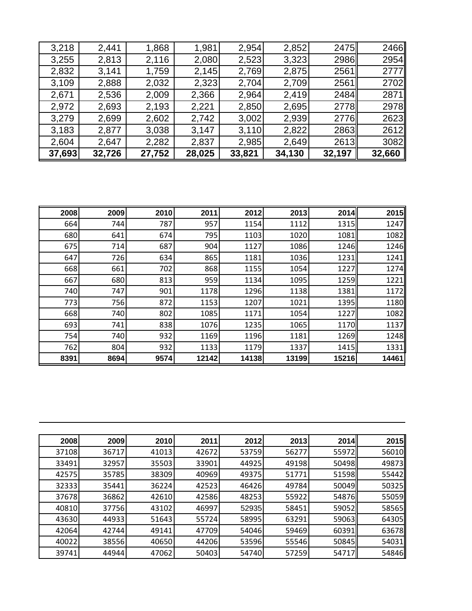| 3,218  | 2,441  | 1,868  | 1,981  | 2,954  | 2,852  | 2475   | 2466        |
|--------|--------|--------|--------|--------|--------|--------|-------------|
| 3,255  | 2,813  | 2,116  | 2,080  | 2,523  | 3,323  | 2986   | 2954        |
| 2,832  | 3,141  | 1,759  | 2,145  | 2,769  | 2,875  | 2561   | <b>2777</b> |
| 3,109  | 2,888  | 2,032  | 2,323  | 2,704  | 2,709  | 2561   | 2702        |
| 2,671  | 2,536  | 2,009  | 2,366  | 2,964  | 2,419  | 2484   | 2871        |
| 2,972  | 2,693  | 2,193  | 2,221  | 2,850  | 2,695  | 2778   | 2978        |
| 3,279  | 2,699  | 2,602  | 2,742  | 3,002  | 2,939  | 2776   | 2623        |
| 3,183  | 2,877  | 3,038  | 3,147  | 3,110  | 2,822  | 2863   | 2612        |
| 2,604  | 2,647  | 2,282  | 2,837  | 2,985  | 2,649  | 2613   | 3082        |
| 37,693 | 32,726 | 27,752 | 28,025 | 33,821 | 34,130 | 32,197 | 32,660      |

| 2008 | 2009 | 2010 | 2011  | 2012  | 2013  | 2014  | 2015  |
|------|------|------|-------|-------|-------|-------|-------|
| 664  | 744  | 787  | 957   | 1154  | 1112  | 1315  | 1247  |
| 680  | 641  | 674  | 795   | 1103  | 1020  | 1081  | 1082  |
| 675  | 714  | 687  | 904   | 1127  | 1086  | 1246  | 1246  |
| 647  | 726  | 634  | 865   | 1181  | 1036  | 1231  | 1241  |
| 668  | 661  | 702  | 868   | 1155  | 1054  | 1227  | 1274  |
| 667  | 680  | 813  | 959   | 1134  | 1095  | 1259  | 1221  |
| 740  | 747  | 901  | 1178  | 1296  | 1138  | 1381  | 1172  |
| 773  | 756  | 872  | 1153  | 1207  | 1021  | 1395  | 1180  |
| 668  | 740  | 802  | 1085  | 1171  | 1054  | 1227  | 1082  |
| 693  | 741  | 838  | 1076  | 1235  | 1065  | 1170  | 1137  |
| 754  | 740  | 932  | 1169  | 1196  | 1181  | 1269  | 1248  |
| 762  | 804  | 932  | 1133  | 1179  | 1337  | 1415  | 1331  |
| 8391 | 8694 | 9574 | 12142 | 14138 | 13199 | 15216 | 14461 |

| 2008  | 2009  | 2010  | 2011  | 2012  | 2013  | 2014  | 2015  |
|-------|-------|-------|-------|-------|-------|-------|-------|
| 37108 | 36717 | 41013 | 42672 | 53759 | 56277 | 55972 | 56010 |
| 33491 | 32957 | 35503 | 33901 | 44925 | 49198 | 50498 | 49873 |
| 42575 | 35785 | 38309 | 40969 | 49375 | 51771 | 51598 | 55442 |
| 32333 | 35441 | 36224 | 42523 | 46426 | 49784 | 50049 | 50325 |
| 37678 | 36862 | 42610 | 42586 | 48253 | 55922 | 54876 | 55059 |
| 40810 | 37756 | 43102 | 46997 | 52935 | 58451 | 59052 | 58565 |
| 43630 | 44933 | 51643 | 55724 | 58995 | 63291 | 59063 | 64305 |
| 42064 | 42744 | 49141 | 47709 | 54046 | 59469 | 60391 | 63678 |
| 40022 | 38556 | 40650 | 44206 | 53596 | 55546 | 50845 | 54031 |
| 39741 | 44944 | 47062 | 50403 | 54740 | 57259 | 54717 | 54846 |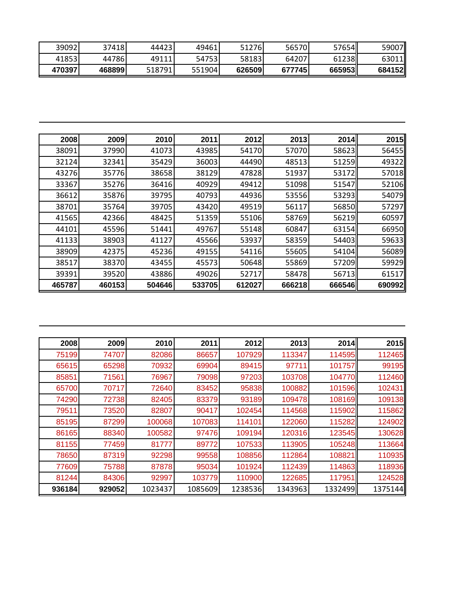| 39092   | 374181  | 444231 | 49461  | 51276  | 56570) | 57654 <b>II</b> | 59007  |
|---------|---------|--------|--------|--------|--------|-----------------|--------|
| 418531  | 44786I  | 49111  | 547531 | 58183  | 64207  | 61238           | 63011  |
| 4703971 | 4688991 | 518791 | 551904 | 626509 | 677745 | 665953          | 684152 |

| 2008   | 2009   | 2010   | 2011   | 2012   | 2013   | 2014   | 2015   |
|--------|--------|--------|--------|--------|--------|--------|--------|
| 38091  | 37990  | 41073  | 43985  | 54170  | 57070  | 58623  | 56455  |
| 32124  | 32341  | 35429  | 36003  | 44490  | 48513  | 51259  | 49322  |
| 43276  | 35776  | 38658  | 38129  | 47828  | 51937  | 53172  | 57018  |
| 33367  | 35276  | 36416  | 40929  | 49412  | 51098  | 51547  | 52106  |
| 36612  | 35876  | 39795  | 40793  | 44936  | 53556  | 53293  | 54079  |
| 38701  | 35764  | 39705  | 43420  | 49519  | 56117  | 56850  | 57297  |
| 41565  | 42366  | 48425  | 51359  | 55106  | 58769  | 56219  | 60597  |
| 44101  | 45596  | 51441  | 49767  | 55148  | 60847  | 63154  | 66950  |
| 41133  | 38903  | 41127  | 45566  | 53937  | 58359  | 54403  | 59633  |
| 38909  | 42375  | 45236  | 49155  | 54116  | 55605  | 54104  | 56089  |
| 38517  | 38370  | 43455  | 45573  | 50648  | 55869  | 57209  | 59929  |
| 39391  | 39520  | 43886  | 49026  | 52717  | 58478  | 56713  | 61517  |
| 465787 | 460153 | 504646 | 533705 | 612027 | 666218 | 666546 | 690992 |

| 2008   | 2009   | 2010    | 2011    | 2012    | 2013    | 2014    | 2015    |
|--------|--------|---------|---------|---------|---------|---------|---------|
| 75199  | 74707  | 82086   | 86657   | 107929  | 113347  | 114595  | 112465  |
| 65615  | 65298  | 70932   | 69904   | 89415   | 97711   | 101757  | 99195   |
| 85851  | 71561  | 76967   | 79098   | 97203   | 103708  | 104770  | 112460  |
| 65700  | 70717  | 72640   | 83452   | 95838   | 100882  | 101596  | 102431  |
| 74290  | 72738  | 82405   | 83379   | 93189   | 109478  | 108169  | 109138  |
| 79511  | 73520  | 82807   | 90417   | 102454  | 114568  | 115902  | 115862  |
| 85195  | 87299  | 100068  | 107083  | 114101  | 122060  | 115282  | 124902  |
| 86165  | 88340  | 100582  | 97476   | 109194  | 120316  | 123545  | 130628  |
| 81155  | 77459  | 81777   | 89772   | 107533  | 113905  | 105248  | 113664  |
| 78650  | 87319  | 92298   | 99558   | 108856  | 112864  | 108821  | 110935  |
| 77609  | 75788  | 87878   | 95034   | 101924  | 112439  | 114863  | 118936  |
| 81244  | 84306  | 92997   | 103779  | 110900  | 122685  | 117951  | 124528  |
| 936184 | 929052 | 1023437 | 1085609 | 1238536 | 1343963 | 1332499 | 1375144 |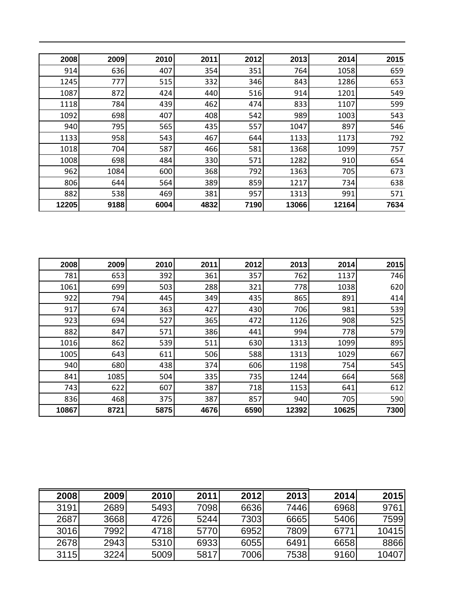| 2008  | 2009 | 2010 | 2011 | 2012 | 2013  | 2014  | 2015 |
|-------|------|------|------|------|-------|-------|------|
| 914   | 636  | 407  | 354  | 351  | 764   | 1058  | 659  |
| 1245  | 777  | 515  | 332  | 346  | 843   | 1286  | 653  |
| 1087  | 872  | 424  | 440  | 516  | 914   | 1201  | 549  |
| 1118  | 784  | 439  | 462  | 474  | 833   | 1107  | 599  |
| 1092  | 698  | 407  | 408  | 542  | 989   | 1003  | 543  |
| 940   | 795  | 565  | 435  | 557  | 1047  | 897   | 546  |
| 1133  | 958  | 543  | 467  | 644  | 1133  | 1173  | 792  |
| 1018  | 704  | 587  | 466  | 581  | 1368  | 1099  | 757  |
| 1008  | 698  | 484  | 330  | 571  | 1282  | 910   | 654  |
| 962   | 1084 | 600  | 368  | 792  | 1363  | 705   | 673  |
| 806   | 644  | 564  | 389  | 859  | 1217  | 734   | 638  |
| 882   | 538  | 469  | 381  | 957  | 1313  | 991   | 571  |
| 12205 | 9188 | 6004 | 4832 | 7190 | 13066 | 12164 | 7634 |

| 2008  | 2009 | 2010 | 2011 | 2012 | 2013  | 2014  | 2015 |
|-------|------|------|------|------|-------|-------|------|
| 781   | 653  | 392  | 361  | 357  | 762   | 1137  | 746  |
| 1061  | 699  | 503  | 288  | 321  | 778   | 1038  | 620  |
| 922   | 794  | 445  | 349  | 435  | 865   | 891   | 414  |
| 917   | 674  | 363  | 427  | 430  | 706   | 981   | 539  |
| 923   | 694  | 527  | 365  | 472  | 1126  | 908   | 525  |
| 882   | 847  | 571  | 386  | 441  | 994   | 778   | 579  |
| 1016  | 862  | 539  | 511  | 630  | 1313  | 1099  | 895  |
| 1005  | 643  | 611  | 506  | 588  | 1313  | 1029  | 667  |
| 940   | 680  | 438  | 374  | 606  | 1198  | 754   | 545  |
| 841   | 1085 | 504  | 335  | 735  | 1244  | 664   | 568  |
| 743   | 622  | 607  | 387  | 718  | 1153  | 641   | 612  |
| 836   | 468  | 375  | 387  | 857  | 940   | 705   | 590  |
| 10867 | 8721 | 5875 | 4676 | 6590 | 12392 | 10625 | 7300 |

| 2008 | 2009 | <b>2010</b> | 2011 | 2012 | 2013 | 2014 | 2015  |
|------|------|-------------|------|------|------|------|-------|
| 3191 | 2689 | 5493        | 7098 | 6636 | 7446 | 6968 | 9761  |
| 2687 | 3668 | 4726        | 5244 | 7303 | 6665 | 5406 | 7599  |
| 3016 | 7992 | 4718        | 5770 | 6952 | 7809 | 6771 | 10415 |
| 2678 | 2943 | 5310        | 6933 | 6055 | 6491 | 6658 | 8866  |
| 3115 | 3224 | 5009        | 5817 | 7006 | 7538 | 9160 | 10407 |

L.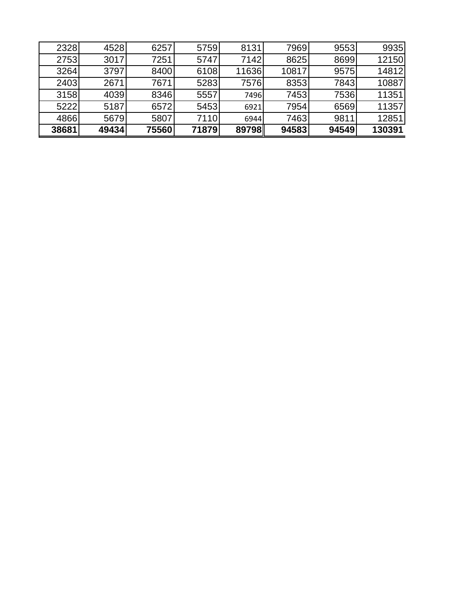| 2328  | 4528  | 6257  | 5759  | 8131  | 7969  | 9553  | 9935   |
|-------|-------|-------|-------|-------|-------|-------|--------|
| 2753  | 3017  | 7251  | 5747  | 7142  | 8625  | 8699  | 12150  |
| 3264  | 3797  | 8400  | 6108  | 11636 | 10817 | 9575  | 14812  |
| 2403  | 2671  | 7671  | 5283  | 7576  | 8353  | 7843  | 10887  |
| 3158  | 4039  | 8346  | 5557  | 7496  | 7453  | 7536  | 11351  |
| 5222  | 5187  | 6572  | 5453  | 6921  | 7954  | 6569  | 11357  |
| 4866  | 5679  | 5807  | 7110  | 6944  | 7463  | 9811  | 12851  |
| 38681 | 49434 | 75560 | 71879 | 89798 | 94583 | 94549 | 130391 |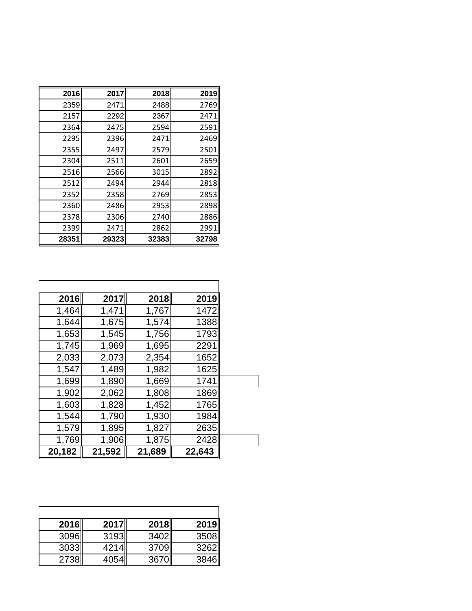| 2016  | 2017  | 2018  | 2019  |
|-------|-------|-------|-------|
| 2359  | 2471  | 2488  | 2769  |
| 2157  | 2292  | 2367  | 2471  |
| 2364  | 2475  | 2594  | 2591  |
| 2295  | 2396  | 2471  | 2469  |
| 2355  | 2497  | 2579  | 2501  |
| 2304  | 2511  | 2601  | 2659  |
| 2516  | 2566  | 3015  | 2892  |
| 2512  | 2494  | 2944  | 2818  |
| 2352  | 2358  | 2769  | 2853  |
| 2360  | 2486  | 2953  | 2898  |
| 2378  | 2306  | 2740  | 2886  |
| 2399  | 2471  | 2862  | 2991  |
| 28351 | 29323 | 32383 | 32798 |

| 2016   | 2017   | 2018   | 2019   |
|--------|--------|--------|--------|
| 1,464  | 1,471  | 1,767  | 1472   |
| 1,644  | 1,675  | 1,574  | 1388   |
| 1,653  | 1,545  | 1,756  | 1793   |
| 1,745  | 1,969  | 1,695  | 2291   |
| 2,033  | 2,073  | 2,354  | 1652   |
| 1,547  | 1,489  | 1,982  | 1625   |
| 1,699  | 1,890  | 1,669  | 1741   |
| 1,902  | 2,062  | 1,808  | 1869   |
| 1,603  | 1,828  | 1,452  | 1765   |
| 1,544  | 1,790  | 1,930  | 1984   |
| 1,579  | 1,895  | 1,827  | 2635   |
| 1,769  | 1,906  | 1,875  | 2428   |
| 20,182 | 21,592 | 21,689 | 22,643 |

| <b>2016</b> | <b>2017</b> | <b>2018</b> | <b>2019</b> |
|-------------|-------------|-------------|-------------|
| 3096        | 3193        | 3402        | 3508        |
| 3033        | 4214        | 3709        | 3262        |
| 2738        | 4054        | <b>3670</b> | 3846        |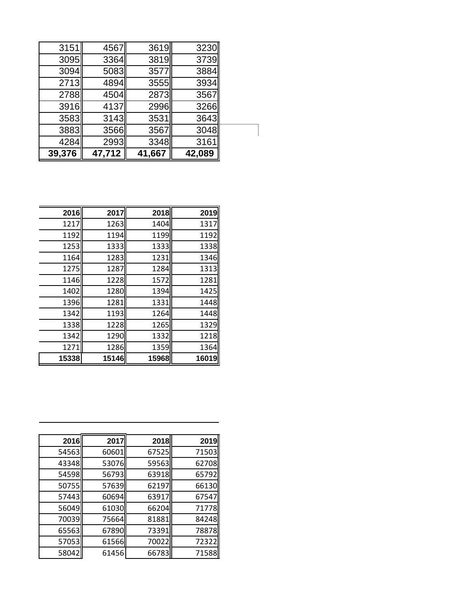| 39,376 | 47,712 | 41,667 | 42,089 |
|--------|--------|--------|--------|
| 4284   | 2993   | 3348   | 3161   |
| 3883   | 3566   | 3567   | 3048   |
| 3583   | 3143   | 3531   | 3643   |
| 3916   | 4137   | 2996   | 3266   |
| 2788   | 4504   | 2873   | 3567   |
| 2713   | 4894   | 3555   | 3934   |
| 3094   | 5083   | 3577   | 3884   |
| 3095   | 3364   | 3819   | 3739   |
| 3151   | 4567   | 3619   | 3230   |

| 2016  | 2017  | 2018  | 2019  |
|-------|-------|-------|-------|
| 1217  | 1263  | 1404  | 1317  |
| 1192  | 1194  | 1199  | 1192  |
| 1253  | 1333  | 1333  | 1338  |
| 1164  | 1283  | 1231  | 1346  |
| 1275  | 1287  | 1284  | 1313  |
| 1146  | 1228  | 1572  | 1281  |
| 1402  | 1280  | 1394  | 1425  |
| 1396  | 1281  | 1331  | 1448  |
| 1342  | 1193  | 1264  | 1448  |
| 1338  | 1228  | 1265  | 1329  |
| 1342  | 1290  | 1332  | 1218  |
| 1271  | 1286  | 1359  | 1364  |
| 15338 | 15146 | 15968 | 16019 |

| 2016  | 2017  | 2018  | 2019  |
|-------|-------|-------|-------|
| 54563 | 60601 | 67525 | 71503 |
| 43348 | 53076 | 59563 | 62708 |
| 54598 | 56793 | 63918 | 65792 |
| 50755 | 57639 | 62197 | 66130 |
| 57443 | 60694 | 63917 | 67547 |
| 56049 | 61030 | 66204 | 71778 |
| 70039 | 75664 | 81881 | 84248 |
| 65563 | 67890 | 73391 | 78878 |
| 57053 | 61566 | 70022 | 72322 |
| 58042 | 61456 | 66783 | 71588 |
|       |       |       |       |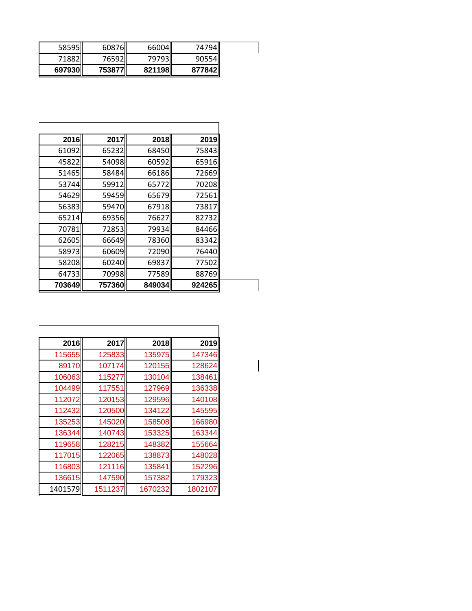| 58595   | 60876    | 66004II  | 74794II  |
|---------|----------|----------|----------|
| 71882II | 76592L   | 79793II  | 90554II  |
| 697930  | 753877II | 821198ll | 877842II |

| 2016   | 2017   | 2018   | 2019   |
|--------|--------|--------|--------|
|        |        |        |        |
| 61092  | 65232  | 68450  | 75843  |
| 45822  | 54098  | 60592  | 65916  |
| 51465  | 58484  | 66186  | 72669  |
| 53744  | 59912  | 65772  | 70208  |
| 54629  | 59459  | 65679  | 72561  |
| 56383  | 59470  | 67918  | 73817  |
| 65214  | 69356  | 76627  | 82732  |
| 70781  | 72853  | 79934  | 84466  |
| 62605  | 66649  | 78360  | 83342  |
| 58973  | 60609  | 72090  | 76440  |
| 58208  | 60240  | 69837  | 77502  |
| 64733  | 70998  | 77589  | 88769  |
| 703649 | 757360 | 849034 | 924265 |

| 2016    | 2017    | 2018    | 2019    |
|---------|---------|---------|---------|
| 115655  | 125833  | 135975  | 147346  |
| 89170   | 107174  | 120155  | 128624  |
| 106063  | 115277  | 130104  | 138461  |
| 104499  | 117551  | 127969  | 136338  |
| 112072  | 120153  | 129596  | 140108  |
| 112432  | 120500  | 134122  | 145595  |
| 135253  | 145020  | 158508  | 166980  |
| 136344  | 140743  | 153325  | 163344  |
| 119658  | 128215  | 148382  | 155664  |
| 117015  | 122065  | 138873  | 148028  |
| 116803  | 121116  | 135841  | 152296  |
| 136615  | 147590  | 157382  | 179323  |
| 1401579 | 1511237 | 1670232 | 1802107 |

 $\begin{array}{c} \hline \end{array}$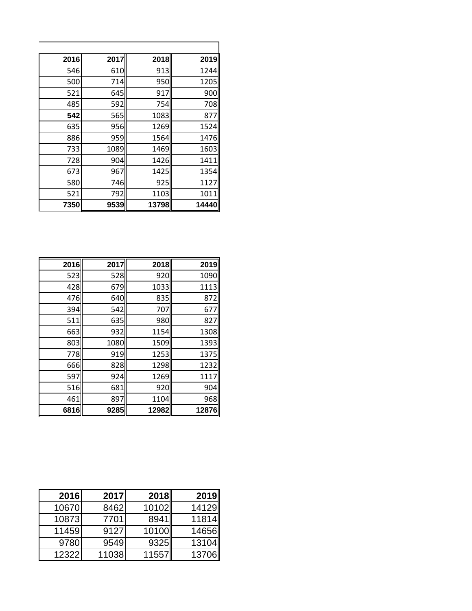| 2016 | 2017 | 2018  | 2019  |
|------|------|-------|-------|
| 546  | 610  | 913   | 1244  |
| 500  | 714  | 950   | 1205  |
| 521  | 645  | 917   | 900   |
| 485  | 592  | 754   | 708   |
| 542  | 565  | 1083  | 877   |
| 635  | 956  | 1269  | 1524  |
| 886  | 959  | 1564  | 1476  |
| 733  | 1089 | 1469  | 1603  |
| 728  | 904  | 1426  | 1411  |
| 673  | 967  | 1425  | 1354  |
| 580  | 746  | 925   | 1127  |
| 521  | 792  | 1103  | 1011  |
| 7350 | 9539 | 13798 | 14440 |

| 2016 | 2017 | 2018  | 2019  |
|------|------|-------|-------|
| 523  | 528  | 920   | 1090  |
| 428  | 679  | 1033  | 1113  |
| 476  | 640  | 835   | 872   |
| 394  | 542  | 707   | 677   |
| 511  | 635  | 980   | 827   |
| 663  | 932  | 1154  | 1308  |
| 803  | 1080 | 1509  | 1393  |
| 778  | 919  | 1253  | 1375  |
| 666  | 828  | 1298  | 1232  |
| 597  | 924  | 1269  | 1117  |
| 516  | 681  | 920   | 904   |
| 461  | 897  | 1104  | 968   |
| 6816 | 9285 | 12982 | 12876 |

| 2016  | 2017  | 2018  | <b>2019</b> |
|-------|-------|-------|-------------|
| 10670 | 8462  | 10102 | 14129       |
| 10873 | 7701  | 8941  | 11814       |
| 11459 | 9127  | 10100 | 14656       |
| 9780  | 9549  | 9325  | 13104       |
| 12322 | 11038 | 11557 | 13706       |